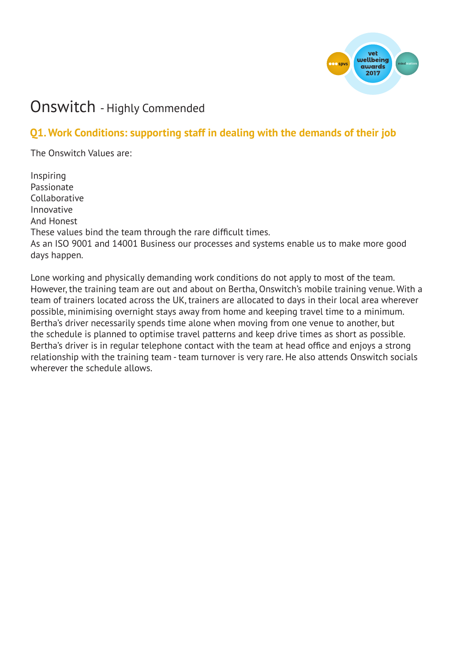

# Onswitch - Highly Commended

# **Q1. Work Conditions: supporting staff in dealing with the demands of their job**

The Onswitch Values are:

Inspiring Passionate Collaborative Innovative And Honest These values bind the team through the rare difficult times. As an ISO 9001 and 14001 Business our processes and systems enable us to make more good days happen.

Lone working and physically demanding work conditions do not apply to most of the team. However, the training team are out and about on Bertha, Onswitch's mobile training venue. With a team of trainers located across the UK, trainers are allocated to days in their local area wherever possible, minimising overnight stays away from home and keeping travel time to a minimum. Bertha's driver necessarily spends time alone when moving from one venue to another, but the schedule is planned to optimise travel patterns and keep drive times as short as possible. Bertha's driver is in regular telephone contact with the team at head office and enjoys a strong relationship with the training team - team turnover is very rare. He also attends Onswitch socials wherever the schedule allows.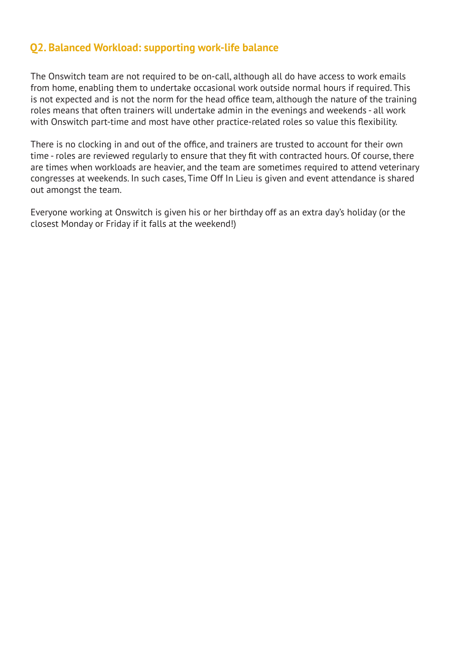#### **Q2. Balanced Workload: supporting work-life balance**

The Onswitch team are not required to be on-call, although all do have access to work emails from home, enabling them to undertake occasional work outside normal hours if required. This is not expected and is not the norm for the head office team, although the nature of the training roles means that often trainers will undertake admin in the evenings and weekends - all work with Onswitch part-time and most have other practice-related roles so value this flexibility.

There is no clocking in and out of the office, and trainers are trusted to account for their own time - roles are reviewed regularly to ensure that they fit with contracted hours. Of course, there are times when workloads are heavier, and the team are sometimes required to attend veterinary congresses at weekends. In such cases, Time Off In Lieu is given and event attendance is shared out amongst the team.

Everyone working at Onswitch is given his or her birthday off as an extra day's holiday (or the closest Monday or Friday if it falls at the weekend!)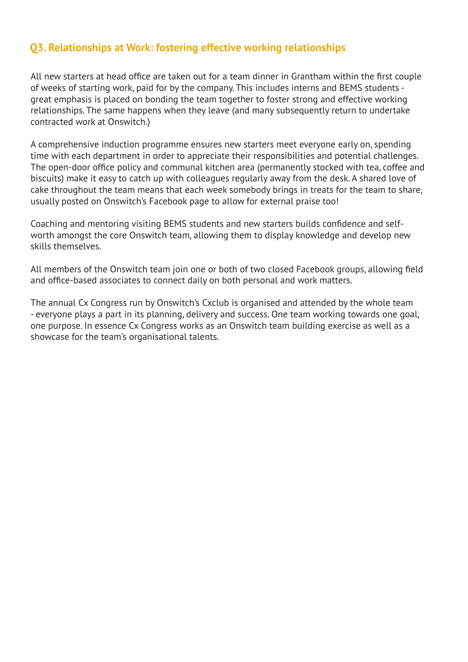#### **Q3. Relationships at Work: fostering effective working relationships**

All new starters at head office are taken out for a team dinner in Grantham within the first couple of weeks of starting work, paid for by the company. This includes interns and BEMS students great emphasis is placed on bonding the team together to foster strong and effective working relationships. The same happens when they leave (and many subsequently return to undertake contracted work at Onswitch.)

A comprehensive induction programme ensures new starters meet everyone early on, spending time with each department in order to appreciate their responsibilities and potential challenges. The open-door office policy and communal kitchen area (permanently stocked with tea, coffee and biscuits) make it easy to catch up with colleagues regularly away from the desk. A shared love of cake throughout the team means that each week somebody brings in treats for the team to share, usually posted on Onswitch's Facebook page to allow for external praise too!

Coaching and mentoring visiting BEMS students and new starters builds confidence and selfworth amongst the core Onswitch team, allowing them to display knowledge and develop new skills themselves.

All members of the Onswitch team join one or both of two closed Facebook groups, allowing field and office-based associates to connect daily on both personal and work matters.

The annual Cx Congress run by Onswitch's Cxclub is organised and attended by the whole team - everyone plays a part in its planning, delivery and success. One team working towards one goal, one purpose. In essence Cx Congress works as an Onswitch team building exercise as well as a showcase for the team's organisational talents.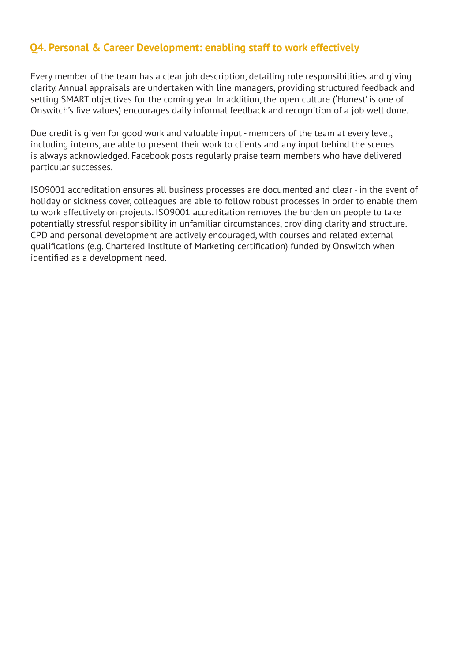### **Q4. Personal & Career Development: enabling staff to work effectively**

Every member of the team has a clear job description, detailing role responsibilities and giving clarity. Annual appraisals are undertaken with line managers, providing structured feedback and setting SMART objectives for the coming year. In addition, the open culture ('Honest' is one of Onswitch's five values) encourages daily informal feedback and recognition of a job well done.

Due credit is given for good work and valuable input - members of the team at every level, including interns, are able to present their work to clients and any input behind the scenes is always acknowledged. Facebook posts regularly praise team members who have delivered particular successes.

ISO9001 accreditation ensures all business processes are documented and clear - in the event of holiday or sickness cover, colleagues are able to follow robust processes in order to enable them to work effectively on projects. ISO9001 accreditation removes the burden on people to take potentially stressful responsibility in unfamiliar circumstances, providing clarity and structure. CPD and personal development are actively encouraged, with courses and related external qualifications (e.g. Chartered Institute of Marketing certification) funded by Onswitch when identified as a development need.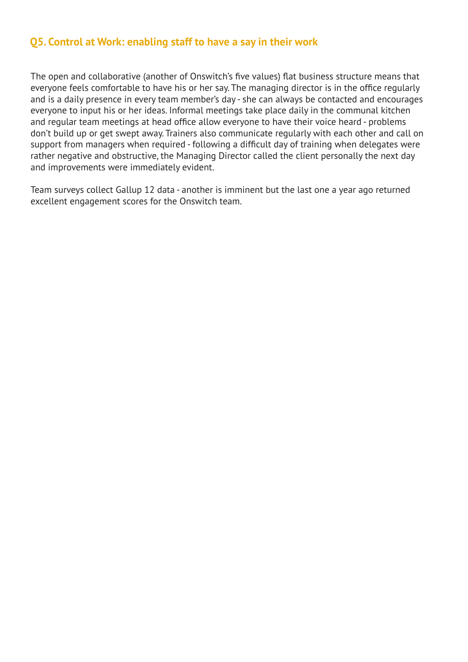#### **Q5. Control at Work: enabling staff to have a say in their work**

The open and collaborative (another of Onswitch's five values) flat business structure means that everyone feels comfortable to have his or her say. The managing director is in the office regularly and is a daily presence in every team member's day - she can always be contacted and encourages everyone to input his or her ideas. Informal meetings take place daily in the communal kitchen and regular team meetings at head office allow everyone to have their voice heard - problems don't build up or get swept away. Trainers also communicate regularly with each other and call on support from managers when required - following a difficult day of training when delegates were rather negative and obstructive, the Managing Director called the client personally the next day and improvements were immediately evident.

Team surveys collect Gallup 12 data - another is imminent but the last one a year ago returned excellent engagement scores for the Onswitch team.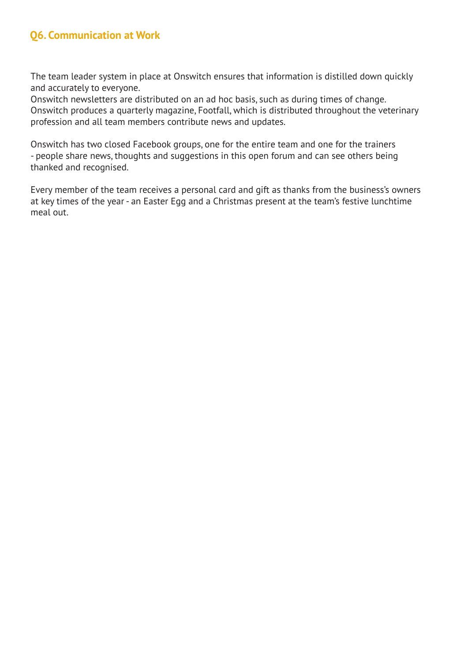### **Q6. Communication at Work**

The team leader system in place at Onswitch ensures that information is distilled down quickly and accurately to everyone.

Onswitch newsletters are distributed on an ad hoc basis, such as during times of change. Onswitch produces a quarterly magazine, Footfall, which is distributed throughout the veterinary profession and all team members contribute news and updates.

Onswitch has two closed Facebook groups, one for the entire team and one for the trainers - people share news, thoughts and suggestions in this open forum and can see others being thanked and recognised.

Every member of the team receives a personal card and gift as thanks from the business's owners at key times of the year - an Easter Egg and a Christmas present at the team's festive lunchtime meal out.